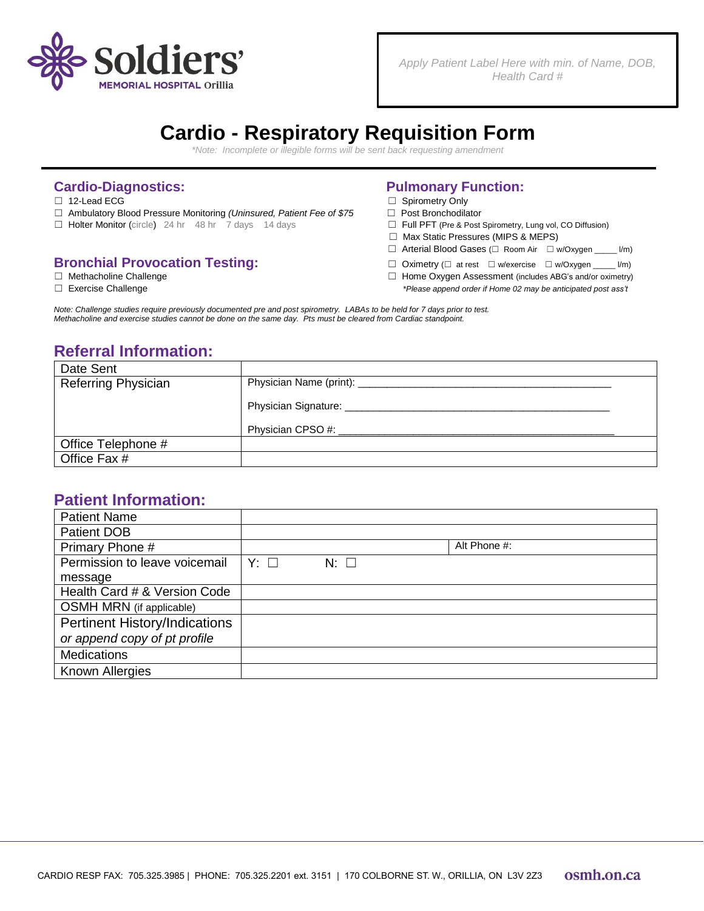

*Apply Patient Label Here with min. of Name, DOB, Health Card #*

## **Cardio - Respiratory Requisition Form**

*\*Note: Incomplete or illegible forms will be sent back requesting amendment*

- 
- ☐ Ambulatory Blood Pressure Monitoring *(Uninsured, Patient Fee of \$75* ☐ Post Bronchodilator
- ☐ Holter Monitor (circle) 24 hr 48 hr 7 days 14 days ☐ Full PFT (Pre & Post Spirometry, Lung vol, CO Diffusion)

# **Bronchial Provocation Testing:**<br>
□ Oximetry (□ at rest □ w/exercise □ w/Oxygen \_\_\_ l/m)<br>
□ Home Oxygen Assessment (includes ABG's and/or oximetry)

- 
- 

### **Cardio-Diagnostics: Pulmonary Function:**

- ☐ 12-Lead ECG ☐ Spirometry Only
	-
	-
	- ☐ Max Static Pressures (MIPS & MEPS)
	- ☐ Arterial Blood Gases (☐ Room Air ☐ w/Oxygen \_\_\_\_\_ l/m)
	-
- □ Home Oxygen Assessment (includes ABG's and/or oximetry) ☐ Exercise Challenge *\*Please append order if Home 02 may be anticipated post ass't*

Note: Challenge studies require previously documented pre and post spirometry. LABAs to be held for 7 days prior to test. Methacholine and exercise studies cannot be done on the same day. Pts must be cleared from Cardiac standpoint.

### **Referral Information:**

| Date Sent                  |                                     |  |  |
|----------------------------|-------------------------------------|--|--|
| <b>Referring Physician</b> | Physician Name (print): ___________ |  |  |
|                            | Physician Signature:                |  |  |
|                            | Physician CPSO #:                   |  |  |
| Office Telephone #         |                                     |  |  |
| Office Fax #               |                                     |  |  |

#### **Patient Information:**

| <b>Patient Name</b>           |           |                |              |
|-------------------------------|-----------|----------------|--------------|
| <b>Patient DOB</b>            |           |                |              |
| Primary Phone #               |           |                | Alt Phone #: |
| Permission to leave voicemail | $Y: \Box$ | $N:$ $\square$ |              |
| message                       |           |                |              |
| Health Card # & Version Code  |           |                |              |
| OSMH MRN (if applicable)      |           |                |              |
| Pertinent History/Indications |           |                |              |
| or append copy of pt profile  |           |                |              |
| <b>Medications</b>            |           |                |              |
| Known Allergies               |           |                |              |